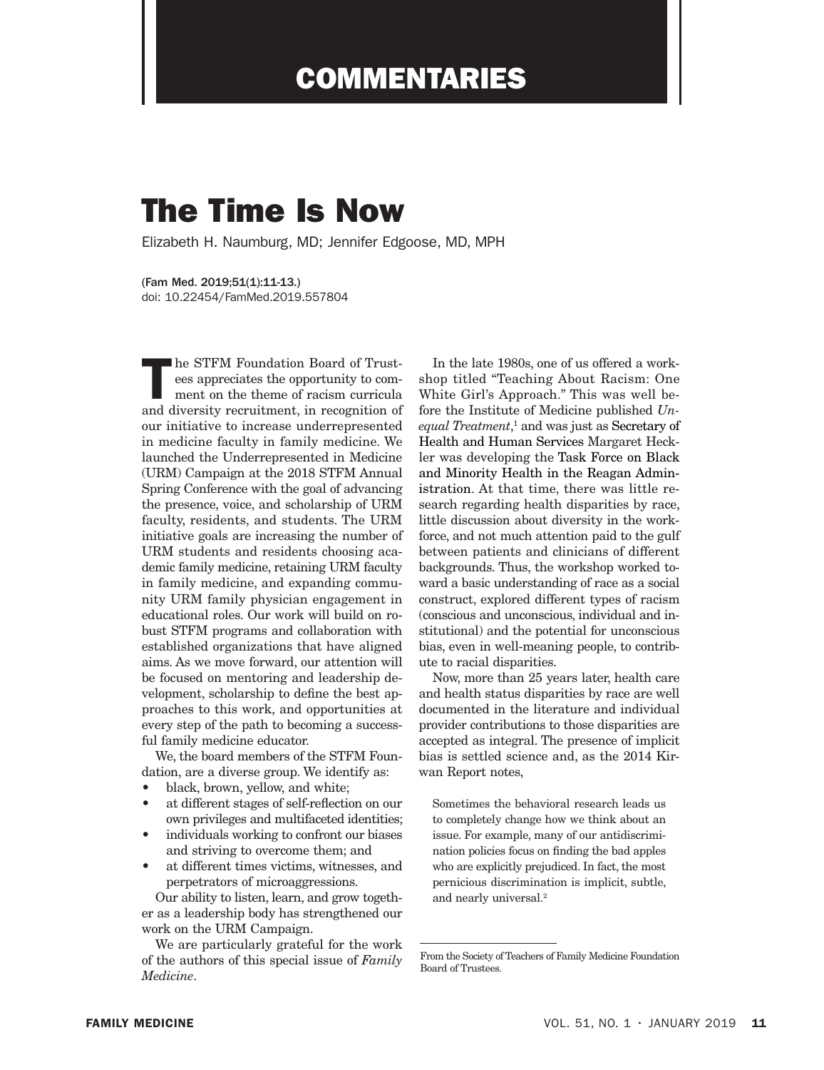## COMMENTARIES

## The Time Is Now

Elizabeth H. Naumburg, MD; Jennifer Edgoose, MD, MPH

(Fam Med. 2019;51(1):11-13.) doi: 10.22454/FamMed.2019.557804

The STFM Foundation Board of Trust-<br>ees appreciates the opportunity to com-<br>ment on the theme of racism curricula<br>and divorsity recruitment in recognition of ees appreciates the opportunity to comment on the theme of racism curricula and diversity recruitment, in recognition of our initiative to increase underrepresented in medicine faculty in family medicine. We launched the Underrepresented in Medicine (URM) Campaign at the 2018 STFM Annual Spring Conference with the goal of advancing the presence, voice, and scholarship of URM faculty, residents, and students. The URM initiative goals are increasing the number of URM students and residents choosing academic family medicine, retaining URM faculty in family medicine, and expanding community URM family physician engagement in educational roles. Our work will build on robust STFM programs and collaboration with established organizations that have aligned aims. As we move forward, our attention will be focused on mentoring and leadership development, scholarship to define the best approaches to this work, and opportunities at every step of the path to becoming a successful family medicine educator.

We, the board members of the STFM Foundation, are a diverse group. We identify as:

- black, brown, yellow, and white;
- at different stages of self-reflection on our own privileges and multifaceted identities;
- individuals working to confront our biases and striving to overcome them; and
- at different times victims, witnesses, and perpetrators of microaggressions.

Our ability to listen, learn, and grow together as a leadership body has strengthened our work on the URM Campaign.

We are particularly grateful for the work of the authors of this special issue of *Family Medicine*.

In the late 1980s, one of us offered a workshop titled "Teaching About Racism: One White Girl's Approach." This was well before the Institute of Medicine published *Un*equal Treatment,<sup>1</sup> and was just as Secretary of Health and Human Services Margaret Heckler was developing the Task Force on Black and Minority Health in the Reagan Administration. At that time, there was little research regarding health disparities by race, little discussion about diversity in the workforce, and not much attention paid to the gulf between patients and clinicians of different backgrounds. Thus, the workshop worked toward a basic understanding of race as a social construct, explored different types of racism (conscious and unconscious, individual and institutional) and the potential for unconscious bias, even in well-meaning people, to contribute to racial disparities.

Now, more than 25 years later, health care and health status disparities by race are well documented in the literature and individual provider contributions to those disparities are accepted as integral. The presence of implicit bias is settled science and, as the 2014 Kirwan Report notes,

Sometimes the behavioral research leads us to completely change how we think about an issue. For example, many of our antidiscrimination policies focus on finding the bad apples who are explicitly prejudiced. In fact, the most pernicious discrimination is implicit, subtle, and nearly universal.2

From the Society of Teachers of Family Medicine Foundation Board of Trustees.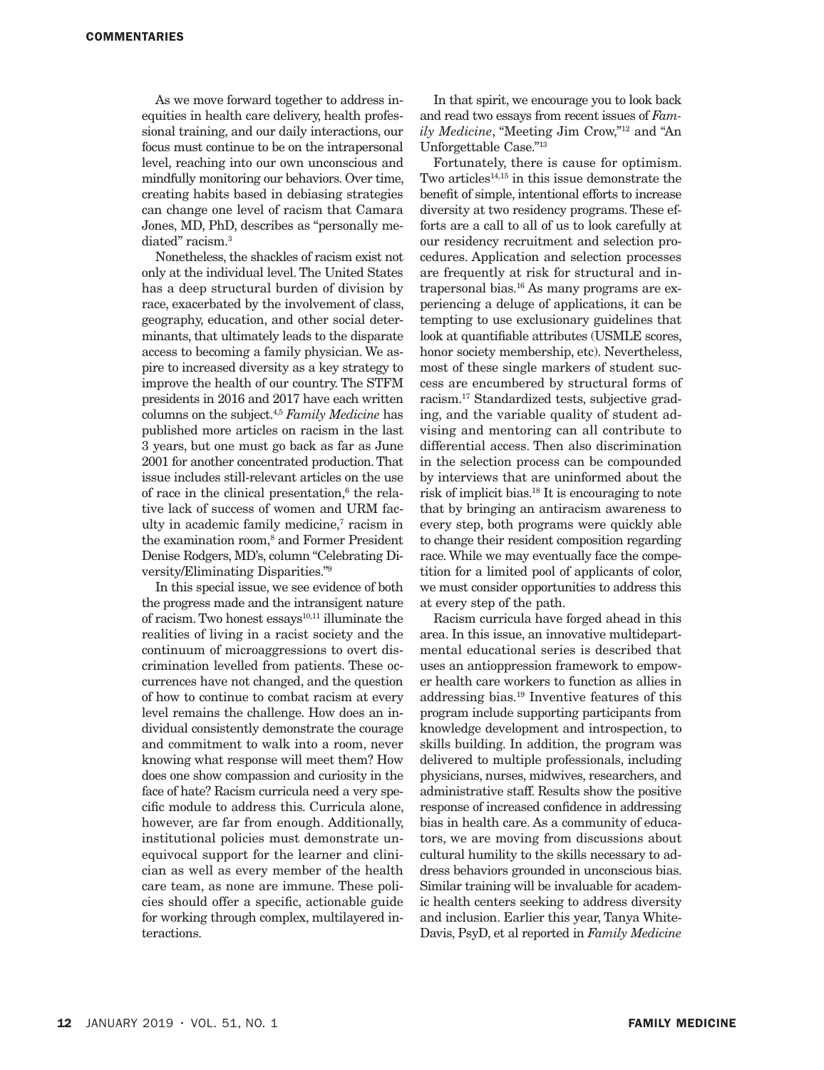As we move forward together to address inequities in health care delivery, health professional training, and our daily interactions, our focus must continue to be on the intrapersonal level, reaching into our own unconscious and mindfully monitoring our behaviors. Over time, creating habits based in debiasing strategies can change one level of racism that Camara Jones, MD, PhD, describes as "personally mediated" racism.<sup>3</sup>

Nonetheless, the shackles of racism exist not only at the individual level. The United States has a deep structural burden of division by race, exacerbated by the involvement of class, geography, education, and other social determinants, that ultimately leads to the disparate access to becoming a family physician. We aspire to increased diversity as a key strategy to improve the health of our country. The STFM presidents in 2016 and 2017 have each written columns on the subject.4,5 *Family Medicine* has published more articles on racism in the last 3 years, but one must go back as far as June 2001 for another concentrated production. That issue includes still-relevant articles on the use of race in the clinical presentation,<sup>6</sup> the relative lack of success of women and URM faculty in academic family medicine,<sup>7</sup> racism in the examination room,<sup>8</sup> and Former President Denise Rodgers, MD's, column "Celebrating Diversity/Eliminating Disparities."9

In this special issue, we see evidence of both the progress made and the intransigent nature of racism. Two honest  $\text{essays}^{10,11}$  illuminate the realities of living in a racist society and the continuum of microaggressions to overt discrimination levelled from patients. These occurrences have not changed, and the question of how to continue to combat racism at every level remains the challenge. How does an individual consistently demonstrate the courage and commitment to walk into a room, never knowing what response will meet them? How does one show compassion and curiosity in the face of hate? Racism curricula need a very specific module to address this. Curricula alone, however, are far from enough. Additionally, institutional policies must demonstrate unequivocal support for the learner and clinician as well as every member of the health care team, as none are immune. These policies should offer a specific, actionable guide for working through complex, multilayered interactions.

In that spirit, we encourage you to look back and read two essays from recent issues of *Family Medicine*, "Meeting Jim Crow,"12 and "An Unforgettable Case."13

Fortunately, there is cause for optimism. Two articles<sup>14,15</sup> in this issue demonstrate the benefit of simple, intentional efforts to increase diversity at two residency programs. These efforts are a call to all of us to look carefully at our residency recruitment and selection procedures. Application and selection processes are frequently at risk for structural and intrapersonal bias.16 As many programs are experiencing a deluge of applications, it can be tempting to use exclusionary guidelines that look at quantifiable attributes (USMLE scores, honor society membership, etc). Nevertheless, most of these single markers of student success are encumbered by structural forms of racism.17 Standardized tests, subjective grading, and the variable quality of student advising and mentoring can all contribute to differential access. Then also discrimination in the selection process can be compounded by interviews that are uninformed about the risk of implicit bias.18 It is encouraging to note that by bringing an antiracism awareness to every step, both programs were quickly able to change their resident composition regarding race. While we may eventually face the competition for a limited pool of applicants of color, we must consider opportunities to address this at every step of the path.

Racism curricula have forged ahead in this area. In this issue, an innovative multidepartmental educational series is described that uses an antioppression framework to empower health care workers to function as allies in addressing bias.19 Inventive features of this program include supporting participants from knowledge development and introspection, to skills building. In addition, the program was delivered to multiple professionals, including physicians, nurses, midwives, researchers, and administrative staff. Results show the positive response of increased confidence in addressing bias in health care. As a community of educators, we are moving from discussions about cultural humility to the skills necessary to address behaviors grounded in unconscious bias. Similar training will be invaluable for academic health centers seeking to address diversity and inclusion. Earlier this year, Tanya White-Davis, PsyD, et al reported in *Family Medicine*